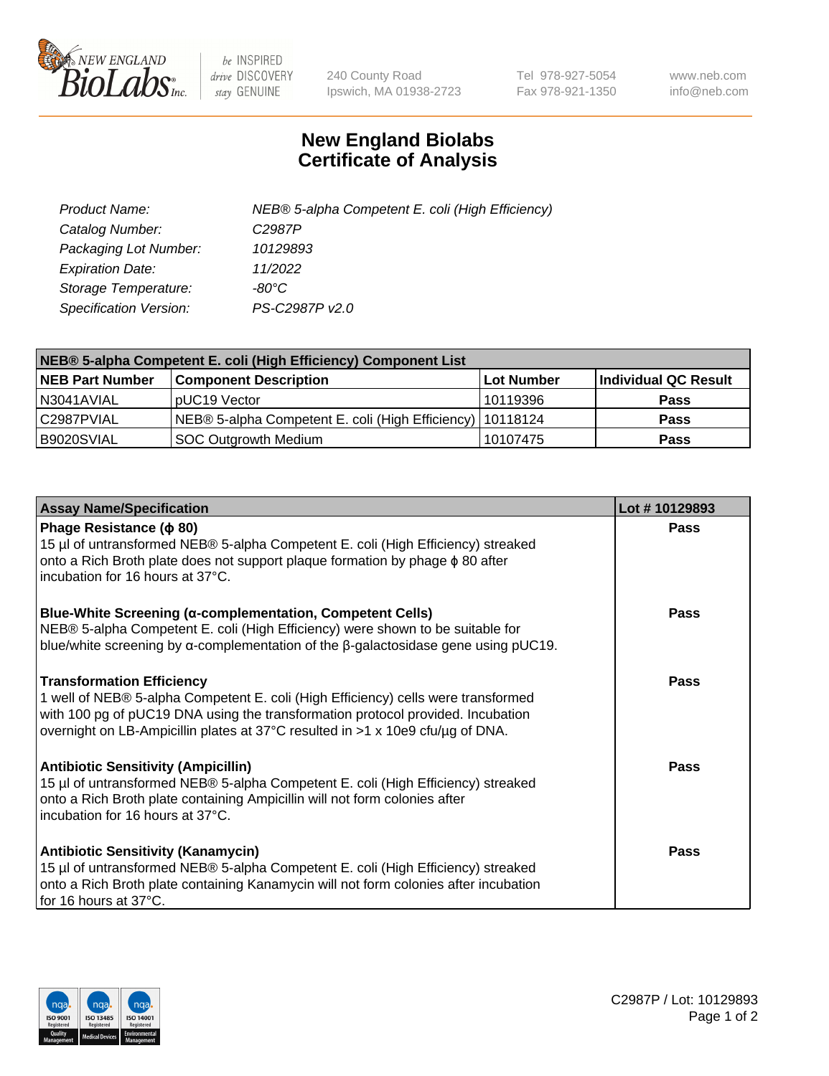

 $be$  INSPIRED drive DISCOVERY stay GENUINE

240 County Road Ipswich, MA 01938-2723 Tel 978-927-5054 Fax 978-921-1350 www.neb.com info@neb.com

## **New England Biolabs Certificate of Analysis**

| Product Name:                 | NEB® 5-alpha Competent E. coli (High Efficiency) |
|-------------------------------|--------------------------------------------------|
| Catalog Number:               | C <sub>2987</sub> P                              |
| Packaging Lot Number:         | 10129893                                         |
| <b>Expiration Date:</b>       | 11/2022                                          |
| Storage Temperature:          | -80°C                                            |
| <b>Specification Version:</b> | PS-C2987P v2.0                                   |

| NEB® 5-alpha Competent E. coli (High Efficiency) Component List |                                                             |            |                      |  |
|-----------------------------------------------------------------|-------------------------------------------------------------|------------|----------------------|--|
| <b>NEB Part Number</b>                                          | <b>Component Description</b>                                | Lot Number | Individual QC Result |  |
| N3041AVIAL                                                      | pUC19 Vector                                                | 10119396   | <b>Pass</b>          |  |
| C2987PVIAL                                                      | NEB® 5-alpha Competent E. coli (High Efficiency)   10118124 |            | <b>Pass</b>          |  |
| B9020SVIAL                                                      | <b>SOC Outgrowth Medium</b>                                 | 10107475   | <b>Pass</b>          |  |

| <b>Assay Name/Specification</b>                                                                                                                                                                                                                                                            | Lot #10129893 |
|--------------------------------------------------------------------------------------------------------------------------------------------------------------------------------------------------------------------------------------------------------------------------------------------|---------------|
| Phage Resistance ( $\phi$ 80)<br>15 µl of untransformed NEB® 5-alpha Competent E. coli (High Efficiency) streaked<br>onto a Rich Broth plate does not support plaque formation by phage $\phi$ 80 after<br>incubation for 16 hours at 37°C.                                                | Pass          |
| <b>Blue-White Screening (α-complementation, Competent Cells)</b><br>NEB® 5-alpha Competent E. coli (High Efficiency) were shown to be suitable for<br>blue/white screening by $\alpha$ -complementation of the $\beta$ -galactosidase gene using pUC19.                                    | Pass          |
| <b>Transformation Efficiency</b><br>1 well of NEB® 5-alpha Competent E. coli (High Efficiency) cells were transformed<br>with 100 pg of pUC19 DNA using the transformation protocol provided. Incubation<br>overnight on LB-Ampicillin plates at 37°C resulted in >1 x 10e9 cfu/µg of DNA. | <b>Pass</b>   |
| <b>Antibiotic Sensitivity (Ampicillin)</b><br>15 µl of untransformed NEB® 5-alpha Competent E. coli (High Efficiency) streaked<br>onto a Rich Broth plate containing Ampicillin will not form colonies after<br>incubation for 16 hours at 37°C.                                           | <b>Pass</b>   |
| <b>Antibiotic Sensitivity (Kanamycin)</b><br>15 µl of untransformed NEB® 5-alpha Competent E. coli (High Efficiency) streaked<br>onto a Rich Broth plate containing Kanamycin will not form colonies after incubation<br>for 16 hours at 37°C.                                             | Pass          |